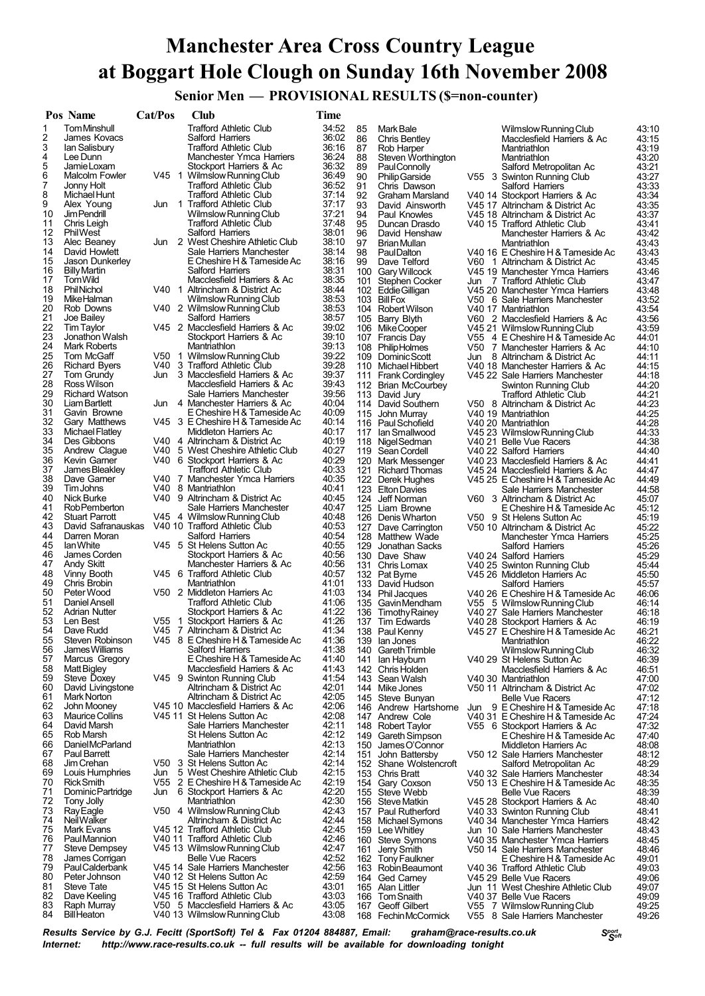## **Manchester Area Cross Country League at Boggart Hole Clough on Sunday 16th November 2008**

**Senior Men — PROVISIONAL RESULTS (\$=non-counter)**

|          | Pos Name                           | Cat/Pos | Club                                                               | Time           |            |                                             |     |                                                                        |                |
|----------|------------------------------------|---------|--------------------------------------------------------------------|----------------|------------|---------------------------------------------|-----|------------------------------------------------------------------------|----------------|
| 1        | <b>Tom Minshull</b>                |         | <b>Trafford Athletic Club</b>                                      | 34:52          | 85         | Mark Bale                                   |     | Wilmslow Running Club                                                  | 43:10          |
| 2        | James Kovacs                       |         | Salford Harriers                                                   | 36:02          | 86         | Chris Bentley                               |     | Macclesfield Harriers & Ac                                             | 43:15          |
| 3        | lan Salisbury                      |         | <b>Trafford Athletic Club</b>                                      | 36:16          | 87         | Rob Harper                                  |     | Mantriathlon                                                           | 43:19          |
| 4<br>5   | Lee Dunn<br>Jamie Loxam            |         | Manchester Ymca Harriers<br>Stockport Harriers & Ac                | 36:24<br>36:32 | 88<br>89   | Steven Worthington<br>Paul Connolly         |     | Mantriathlon<br>Salford Metropolitan Ac                                | 43:20<br>43:21 |
| 6        | Malcolm Fowler                     | V45 1   | Wilmslow Running Club                                              | 36:49          | 90         | <b>Philip Garside</b>                       |     | V55 3 Swinton Running Club                                             | 43:27          |
| 7        | Jonny Holt                         |         | <b>Trafford Athletic Club</b>                                      | 36:52          | 91         | Chris Dawson                                |     | Salford Harriers                                                       | 43:33          |
| 8        | Michael Hunt                       |         | <b>Trafford Athletic Club</b>                                      | 37:14          | 92         | <b>Graham Marsland</b>                      |     | V40 14 Stockport Harriers & Ac                                         | 43:34          |
| 9        | Alex Young                         | Jun     | 1 Trafford Athletic Club                                           | 37:17          | 93         | David Ainsworth                             |     | V45 17 Altrincham & District Ac                                        | 43:35          |
| 10       | Jim Pendrill                       |         | Wilmslow Running Club                                              | 37:21          | 94         | Paul Knowles                                |     | V45 18 Altrincham & District Ac                                        | 43:37          |
| 11<br>12 | Chris Leigh<br>PhilWest            |         | <b>Trafford Athletic Club</b><br>Salford Harriers                  | 37:48<br>38:01 | 95<br>96   | Duncan Drasdo<br>David Henshaw              |     | V40 15 Trafford Athletic Club                                          | 43:41          |
| 13       | Alec Beaney                        |         | Jun 2 West Cheshire Athletic Club                                  | 38:10          | 97         | Brian Mullan                                |     | Manchester Harriers & Ac<br>Mantriathlon                               | 43:42<br>43:43 |
| 14       | David Howlett                      |         | Sale Harriers Manchester                                           | 38:14          | 98         | PaulDalton                                  |     | V40 16 E Cheshire H & Tameside Ac                                      | 43:43          |
| 15       | Jason Dunkerley                    |         | E Cheshire H & Tameside Ac                                         | 38:16          | 99         | Dave Telford                                |     | V60 1 Altrincham & District Ac                                         | 43:45          |
| 16       | <b>Billy Martin</b>                |         | Salford Harriers                                                   | 38:31          |            | 100 Gary Willcock                           |     | V45 19 Manchester Ymca Harriers                                        | 43:46          |
| 17       | Tom Wild                           |         | Macclesfield Harriers & Ac                                         | 38:35          | 101        | Stephen Cocker                              | Jun | 7 Trafford Athletic Club                                               | 43:47          |
| 18       | <b>Phil Nichol</b>                 |         | V40 1 Altrincham & District Ac                                     | 38:44          |            | 102 Eddie Gilligan                          |     | V45 20 Manchester Ymca Harriers                                        | 43:48          |
| 19<br>20 | MikeHalman<br>Rob Downs            |         | Wilmslow Running Club<br>V40 2 Wilmslow Running Club               | 38:53<br>38:53 |            | 103 BillFox<br>104 Robert Wilson            |     | V50 6 Sale Harriers Manchester<br>V40 17 Mantriathlon                  | 43:52<br>43:54 |
| 21       | Joe Bailey                         |         | Salford Harriers                                                   | 38:57          | 105        | Barry Blyth                                 |     | V60 2 Macclesfield Harriers & Ac                                       | 43:56          |
| 22       | Tim Taylor                         |         | V45 2 Macclesfield Harriers & Ac                                   | 39:02          |            | 106 Mike Cooper                             |     | V45 21 Wilmslow Running Club                                           | 43:59          |
| 23       | Jonathon Walsh                     |         | Stockport Harriers & Ac                                            | 39:10          | 107        | <b>Francis Dav</b>                          |     | V55 4 E Cheshire H & Tameside Ac                                       | 44:01          |
| 24       | Mark Roberts                       |         | Mantriathlon                                                       | 39:13          |            | 108 Philip Holmes                           |     | V50 7 Manchester Harriers & Ac                                         | 44:10          |
| 25       | Tom McGaff                         |         | V50 1 Wilmslow Running Club                                        | 39:22          |            | 109 Dominic Scott                           | Jun | 8 Altrincham & District Ac                                             | 44:11          |
| 26       | <b>Richard Byers</b>               |         | V40 3 Trafford Athletic Club                                       | 39:28          |            | 110 Michael Hibbert                         |     | V40 18 Manchester Harriers & Ac                                        | 44:15          |
| 27<br>28 | Tom Grundy<br>Ross Wilson          |         | Jun 3 Macclesfield Harriers & Ac<br>Macclesfield Harriers & Ac     | 39:37<br>39:43 |            | 111 Frank Cordingley                        |     | V45 22 Sale Harriers Manchester                                        | 44:18<br>44:20 |
| 29       | <b>Richard Watson</b>              |         | Sale Harriers Manchester                                           | 39:56          |            | 112 Brian McCourbey<br>113 David Jury       |     | Swinton Running Club<br><b>Trafford Athletic Club</b>                  | 44:21          |
| 30       | Liam Bartlett                      |         | Jun 4 Manchester Harriers & Ac                                     | 40:04          |            | 114 David Southern                          |     | V50 8 Altrincham & District Ac                                         | 44:23          |
| 31       | Gavin Browne                       |         | E Cheshire H & Tameside Ac                                         | 40:09          |            | 115 John Murray                             |     | V40 19 Mantriathlon                                                    | 44:25          |
| 32       | Gary Matthews                      |         | V45 3 E Cheshire H & Tameside Ac                                   | 40:14          | 116        | Paul Schofield                              |     | V40 20 Mantriathlon                                                    | 44:28          |
| 33       | Michael Flatley                    |         | Middleton Harriers Ac                                              | 40:17          | 117        | lan Smallwood                               |     | V45 23 Wilmslow Running Club                                           | 44:33          |
| 34       | Des Gibbons                        |         | V40 4 Altrincham & District Ac                                     | 40:19          |            | 118 Nigel Sedman                            |     | V40 21 Belle Vue Racers                                                | 44:38          |
| 35<br>36 | Andrew Clague<br>Kevin Garner      |         | V40 5 West Cheshire Athletic Club<br>V40 6 Stockport Harriers & Ac | 40:27<br>40:29 |            | 119 Sean Cordell                            |     | V40 22 Salford Harriers                                                | 44:40          |
| 37       | James Bleakley                     |         | <b>Trafford Athletic Club</b>                                      | 40:33          | 121        | 120 Mark Messenger<br><b>Richard Thomas</b> |     | V40 23 Macclesfield Harriers & Ac<br>V45 24 Macclesfield Harriers & Ac | 44:41<br>44:47 |
| 38       | Dave Garner                        |         | V40 7 Manchester Ymca Harriers                                     | 40:35          |            | 122 Derek Hughes                            |     | V45 25 E Cheshire H & Tameside Ac                                      | 44:49          |
| 39       | <b>Tim Johns</b>                   |         | V40 8 Mantriathlon                                                 | 40:41          | 123        | <b>Elton Davies</b>                         |     | Sale Harriers Manchester                                               | 44:58          |
| 40       | Nick Burke                         |         | V40 9 Altrincham & District Ac                                     | 40:45          |            | 124 Jeff Norman                             |     | V60 3 Altrincham & District Ac                                         | 45:07          |
| 41       | Rob Pemberton                      |         | Sale Harriers Manchester                                           | 40:47          |            | 125 Liam Browne                             |     | E Cheshire H & Tameside Ac                                             | 45:12          |
| 42<br>43 | <b>Stuart Parrott</b>              |         | V45 4 Wilmslow Running Club                                        | 40:48<br>40:53 |            | 126 Denis Wharton                           |     | V50 9 St Helens Sutton Ac                                              | 45:19          |
| 44       | David Safranauskas<br>Darren Moran |         | V40 10 Trafford Athletic Club<br>Salford Harriers                  | 40:54          |            | 127 Dave Carrington<br>128 Matthew Wade     |     | V50 10 Altrincham & District Ac<br>Manchester Ymca Harriers            | 45:22<br>45:25 |
| 45       | lan White                          |         | V45 5 St Helens Sutton Ac                                          | 40:55          | 129        | Jonathan Sacks                              |     | Salford Harriers                                                       | 45:26          |
| 46       | James Corden                       |         | Stockport Harriers & Ac                                            | 40:56          |            | 130 Dave Shaw                               |     | V40 24 Salford Harriers                                                | 45:29          |
| 47       | Andy Skitt                         |         | Manchester Harriers & Ac                                           | 40:56          |            | 131 Chris Lomax                             |     | V40 25 Swinton Running Club                                            | 45:44          |
| 48       | Vinny Booth                        |         | V45 6 Trafford Athletic Club                                       | 40:57          |            | 132 Pat Byrne                               |     | V45 26 Middleton Harriers Ac                                           | 45:50          |
| 49       | Chris Brobin                       |         | Mantriathlon                                                       | 41:01          |            | 133 David Hudson                            |     | Salford Harriers                                                       | 45:57          |
| 50<br>51 | Peter Wood<br>Daniel Ansell        |         | V50 2 Middleton Harriers Ac<br><b>Trafford Athletic Club</b>       | 41:03<br>41:06 |            | 134 Phil Jacques                            |     | V40 26 E Cheshire H & Tameside Ac<br>V55 5 Wilmslow Running Club       | 46:06<br>46:14 |
| 52       | <b>Adrian Nutter</b>               |         | Stockport Harriers & Ac                                            | 41:22          |            | 135 GavinMendham<br>136 Timothy Rainey      |     | V40 27 Sale Harriers Manchester                                        | 46:18          |
| 53       | Len Best                           | V55 1   | Stockport Harriers & Ac                                            | 41:26          | 137        | Tim Edwards                                 |     | V40 28 Stockport Harriers & Ac                                         | 46:19          |
| 54       | Dave Rudd                          |         | V45 7 Altrincham & District Ac                                     | 41:34          |            | 138 Paul Kenny                              |     | V45 27 E Cheshire H & Tameside Ac                                      | 46:21          |
| 55       | Steven Robinson                    |         | V45 8 E Cheshire H & Tameside Ac                                   | 41:36          |            | 139 Ian Jones                               |     | Mantriathlon                                                           | 46:22          |
| 56       | James Williams                     |         | Salford Harriers                                                   | 41:38          | 140        | <b>Gareth Trimble</b>                       |     | Wilmslow Running Club                                                  | 46:32          |
| 57<br>58 | Marcus Gregory<br>Matt Bigley      |         | E Cheshire H & Tameside Ac<br>Macclesfield Harriers & Ac           | 41:40<br>41:43 | 141<br>142 | lan Hayburn                                 |     | V40 29 St Helens Sutton Ac                                             | 46:39<br>46:51 |
| 59       | Steve Doxey                        |         | V45 9 Swinton Running Club                                         | 41:54          | 143        | Chris Holden<br>Sean Walsh                  |     | Macclesfield Harriers & Ac<br>V40 30 Mantriathlon                      | 47:00          |
| 60       | David Livingstone                  |         | Altrincham & District Ac                                           | 42:01          |            | 144 Mike Jones                              |     | V50 11 Altrincham & District Ac                                        | 47:02          |
| 61       | Mark Norton                        |         | Altrincham & District Ac                                           | 42:05          |            | 145 Steve Bunyan                            |     | <b>Belle Vue Racers</b>                                                | 47:12          |
| 62       | John Mooney                        |         | V45 10 Macclesfield Harriers & Ac                                  | 42:06          |            | 146 Andrew Hartshorne                       | Jun | 9 E Cheshire H & Tameside Ac                                           | 47:18          |
| 63       | <b>Maurice Collins</b>             |         | V45 11 St Helens Sutton Ac                                         | 42:08          | 147        | Andrew Cole                                 |     | V40 31 E Cheshire H & Tameside Ac                                      | 47:24          |
| 64<br>65 | David Marsh<br>Rob Marsh           |         | Sale Harriers Manchester<br>St Helens Sutton Ac                    | 42:11<br>42:12 |            | 148 Robert Taylor                           |     | V55 6 Stockport Harriers & Ac                                          | 47:32          |
| 66       | Daniel McParland                   |         | Mantriathlon                                                       | 42:13          | 149<br>150 | Gareth Simpson<br>James O'Connor            |     | E Cheshire H & Tameside Ac<br>Middleton Harriers Ac                    | 47:40<br>48:08 |
| 67       | Paul Barrett                       |         | Sale Harriers Manchester                                           | 42:14          | 151        | John Battersby                              |     | V50 12 Sale Harriers Manchester                                        | 48:12          |
| 68       | Jim Crehan                         |         | V50 3 St Helens Sutton Ac                                          | 42:14          | 152        | Shane Wolstencroft                          |     | Salford Metropolitan Ac                                                | 48:29          |
| 69       | Louis Humphries                    | Jun     | 5 West Cheshire Athletic Club                                      | 42:15          |            | 153 Chris Bratt                             |     | V40 32 Sale Harriers Manchester                                        | 48:34          |
| 70       | <b>Rick Smith</b>                  | V55     | 2 E Cheshire H & Tameside Ac                                       | 42:19          |            | 154 Gary Coxson                             |     | V50 13 E Cheshire H & Tameside Ac                                      | 48:35          |
| 71       | Dominic Partridge                  | Jun     | 6 Stockport Harriers & Ac                                          | 42:20          |            | 155 Steve Webb                              |     | <b>Belle Vue Racers</b>                                                | 48:39          |
| 72<br>73 | Tony Jolly<br><b>Ray Eagle</b>     |         | Mantriathlon<br>V50 4 Wilmslow Running Club                        | 42:30<br>42:43 |            | 156 Steve Matkin<br>157 Paul Rutherford     |     | V45 28 Stockport Harriers & Ac<br>V40 33 Swinton Running Club          | 48:40<br>48:41 |
| 74       | Neil Walker                        |         | Altrincham & District Ac                                           | 42:44          |            | 158 Michael Symons                          |     | V40 34 Manchester Ymca Harriers                                        | 48:42          |
| 75       | Mark Evans                         |         | V45 12 Trafford Athletic Club                                      | 42:45          |            | 159 Lee Whitley                             |     | Jun 10 Sale Harriers Manchester                                        | 48:43          |
| 76       | <b>PaulMannion</b>                 |         | V40 11 Trafford Athletic Club                                      | 42:46          |            | 160 Steve Symons                            |     | V40 35 Manchester Ymca Harriers                                        | 48:45          |
| 77       | Steve Dempsey                      |         | V45 13 Wilmslow Running Club                                       | 42:47          | 161        | Jerry Smith                                 |     | V50 14 Sale Harriers Manchester                                        | 48:46          |
| 78       | James Corrigan                     |         | <b>Belle Vue Racers</b>                                            | 42:52          |            | 162 Tony Faulkner                           |     | E Cheshire H & Tameside Ac                                             | 49:01          |
| 79<br>80 | Paul Calderbank<br>Peter Johnson   |         | V45 14 Sale Harriers Manchester<br>V40 12 St Helens Sutton Ac      | 42:56<br>42:59 |            | 163 Robin Beaumont                          |     | V40 36 Trafford Athletic Club                                          | 49:03          |
| 81       | <b>Steve Tate</b>                  |         | V45 15 St Helens Sutton Ac                                         | 43:01          |            | 164 Ged Carney<br>165 Alan Littler          |     | V45 29 Belle Vue Racers<br>Jun 11 West Cheshire Athletic Club          | 49:06<br>49:07 |
| 82       | Dave Keeling                       |         | V45 16 Trafford Athletic Club                                      | 43:03          | 166        | Tom Snaith                                  |     | V40 37 Belle Vue Racers                                                | 49:09          |
| 83       | Raph Murray                        |         | V50 5 Macclesfield Harriers & Ac                                   | 43:05          | 167        | Geoff Gilbert                               |     | V55 7 Wilmslow Running Club                                            | 49:25          |
| 84       | <b>Bill Heaton</b>                 |         | V40 13 Wilmslow Running Club                                       | 43:08          |            | 168 Fechin McCormick                        |     | V55 8 Sale Harriers Manchester                                         | 49:26          |

*<sup>S</sup>port Results Service by G.J. Fecitt <sup>S</sup>oft (SportSoft) Tel & Fax <sup>01204</sup> 884887, Email: graham@race-results.co.uk Internet: http://www.race-results.co.uk -- full results will be available for downloading tonight*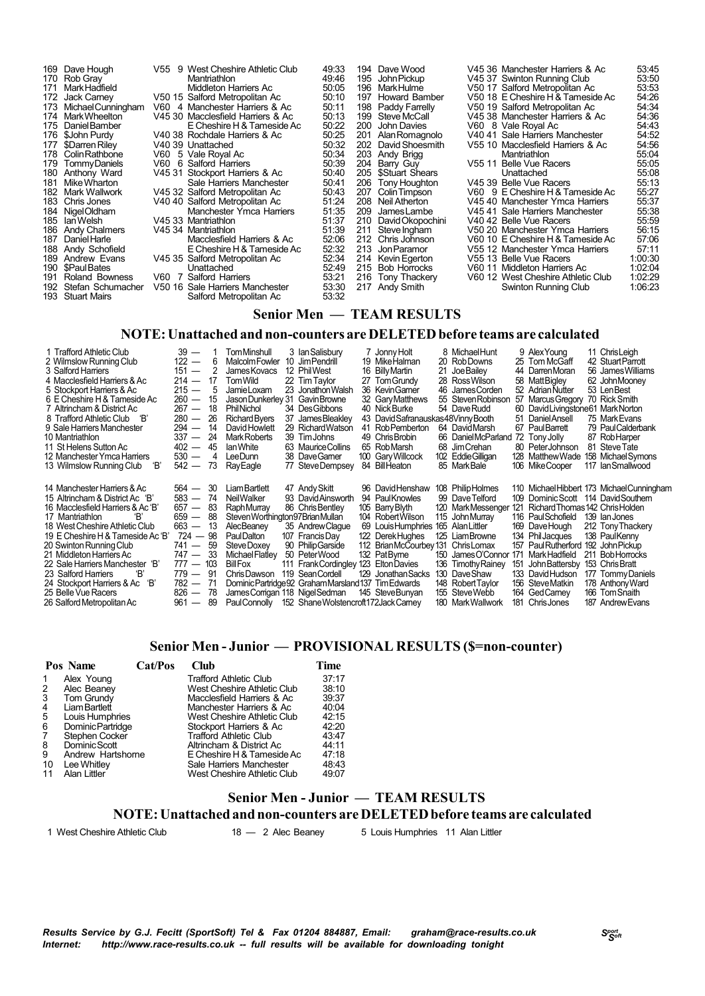| 169 Dave Hough<br>Rob Gray<br>170<br>Mark Hadfield<br>171<br>Jack Carney<br>172<br>Michael Cunningham<br>173<br>174 Mark Wheelton<br>Daniel Bamber<br>175<br>\$John Purdy<br>176<br>\$Darren Riley<br>177<br>Colin Rathbone<br>178<br>TommyDaniels<br>179<br>180 Anthony Ward<br>Mike Wharton<br>181<br>Mark Wallwork<br>182<br>Chris Jones<br>183<br>Nigel Oldham<br>184<br>lan Welsh<br>185<br><b>Andy Chalmers</b><br>186<br>Daniel Harle<br>187<br>Andy Schofield<br>188<br>Andrew Evans<br>189<br>\$Paul Bates<br>190<br>Roland Bowness<br>191<br>Stefan Schumacher<br>192<br><b>Stuart Mairs</b><br>193 | V60 | V55 9 West Cheshire Athletic Club<br>Mantriathlon<br>Middleton Harriers Ac<br>V50 15 Salford Metropolitan Ac<br>V60 4 Manchester Harriers & Ac<br>V45 30 Macclesfield Harriers & Ac<br>E Cheshire H & Tameside Ac<br>V40 38 Rochdale Harriers & Ac<br>V40 39 Unattached<br>V60 5 Vale Roval Ac<br>6 Salford Harriers<br>V45 31 Stockport Harriers & Ac<br>Sale Harriers Manchester<br>V45 32 Salford Metropolitan Ac<br>V40 40 Salford Metropolitan Ac<br>Manchester Ymca Harriers<br>V45 33 Mantriathlon<br>V45 34 Mantriathlon<br>Macclesfield Harriers & Ac<br>E Cheshire H & Tameside Ac<br>V45 35 Salford Metropolitan Ac<br>Unattached<br>V60 7 Salford Harriers<br>V50 16 Sale Harriers Manchester<br>Salford Metropolitan Ac | 49:33<br>49:46<br>50:05<br>50:10<br>50:11<br>50:13<br>50:22<br>50:25<br>50:32<br>50:34<br>50:39<br>50:40<br>50:41<br>50:43<br>51:24<br>51:35<br>51:37<br>51:39<br>52:06<br>52:32<br>52:34<br>52:49<br>53:21<br>53:30<br>53:32 | 195<br>196<br>197<br>199<br>200<br>201<br>202<br>203<br>204<br>208<br>209<br>210<br>211<br>212<br>213<br>214 | 194 Dave Wood<br>John Pickup<br>Mark Hulme<br>Howard Bamber<br>198 Paddy Farrelly<br>Steve McCall<br>John Davies<br>Alan Romagnolo<br>David Shoesmith<br>Andy Brigg<br>Barry Guy<br>205 \$Stuart Shears<br>206 Tony Houghton<br>207 Colin Timpson<br>Neil Atherton<br>JamesLambe<br>David Okopochini<br>Steve Ingham<br>Chris Johnson<br>Jon Paramor<br>Kevin Egerton<br>215 Bob Horrocks<br>216 Tony Thackery<br>217 Andy Smith |  | V45 36 Manchester Harriers & Ac<br>V45 37 Swinton Running Club<br>V50 17 Salford Metropolitan Ac<br>V50 18 E Cheshire H & Tameside Ac<br>V50 19 Salford Metropolitan Ac<br>V45 38 Manchester Harriers & Ac<br>V60 8 Vale Royal Ac<br>V40 41 Sale Harriers Manchester<br>V55 10 Macclesfield Harriers & Ac<br>Mantriathlon<br>V55 11 Belle Vue Racers<br>Unattached<br>V45 39 Belle Vue Racers<br>V60 9 E Cheshire H & Tameside Ac<br>V45 40 Manchester Ymca Harriers<br>V45 41 Sale Harriers Manchester<br>V40 42 Belle Vue Racers<br>V50 20 Manchester Ymca Harriers<br>V60 10 E Cheshire H & Tameside Ac<br>V55 12 Manchester Ymca Harriers<br>V55 13 Belle Vue Racers<br>V60 11 Middleton Harriers Ac<br>V60 12 West Cheshire Athletic Club<br>Swinton Running Club | 53:45<br>53:50<br>53:53<br>54:26<br>54:34<br>54:36<br>54:43<br>54:52<br>54:56<br>55:04<br>55:05<br>55:08<br>55:13<br>55:27<br>55:37<br>55:38<br>55:59<br>56:15<br>57:06<br>57:11<br>1:00:30<br>1:02:04<br>1:02:29<br>1:06:23 |
|---------------------------------------------------------------------------------------------------------------------------------------------------------------------------------------------------------------------------------------------------------------------------------------------------------------------------------------------------------------------------------------------------------------------------------------------------------------------------------------------------------------------------------------------------------------------------------------------------------------|-----|--------------------------------------------------------------------------------------------------------------------------------------------------------------------------------------------------------------------------------------------------------------------------------------------------------------------------------------------------------------------------------------------------------------------------------------------------------------------------------------------------------------------------------------------------------------------------------------------------------------------------------------------------------------------------------------------------------------------------------------|-------------------------------------------------------------------------------------------------------------------------------------------------------------------------------------------------------------------------------|--------------------------------------------------------------------------------------------------------------|----------------------------------------------------------------------------------------------------------------------------------------------------------------------------------------------------------------------------------------------------------------------------------------------------------------------------------------------------------------------------------------------------------------------------------|--|------------------------------------------------------------------------------------------------------------------------------------------------------------------------------------------------------------------------------------------------------------------------------------------------------------------------------------------------------------------------------------------------------------------------------------------------------------------------------------------------------------------------------------------------------------------------------------------------------------------------------------------------------------------------------------------------------------------------------------------------------------------------|------------------------------------------------------------------------------------------------------------------------------------------------------------------------------------------------------------------------------|
|---------------------------------------------------------------------------------------------------------------------------------------------------------------------------------------------------------------------------------------------------------------------------------------------------------------------------------------------------------------------------------------------------------------------------------------------------------------------------------------------------------------------------------------------------------------------------------------------------------------|-----|--------------------------------------------------------------------------------------------------------------------------------------------------------------------------------------------------------------------------------------------------------------------------------------------------------------------------------------------------------------------------------------------------------------------------------------------------------------------------------------------------------------------------------------------------------------------------------------------------------------------------------------------------------------------------------------------------------------------------------------|-------------------------------------------------------------------------------------------------------------------------------------------------------------------------------------------------------------------------------|--------------------------------------------------------------------------------------------------------------|----------------------------------------------------------------------------------------------------------------------------------------------------------------------------------------------------------------------------------------------------------------------------------------------------------------------------------------------------------------------------------------------------------------------------------|--|------------------------------------------------------------------------------------------------------------------------------------------------------------------------------------------------------------------------------------------------------------------------------------------------------------------------------------------------------------------------------------------------------------------------------------------------------------------------------------------------------------------------------------------------------------------------------------------------------------------------------------------------------------------------------------------------------------------------------------------------------------------------|------------------------------------------------------------------------------------------------------------------------------------------------------------------------------------------------------------------------------|

#### **Senior Men — TEAM RESULTS**

#### **NOTE:Unattached and non-counters are DELETEDbefore teams are calculated**

| 1 Trafford Athletic Club<br>2 Wilmslow Running Club<br>3 Salford Harriers<br>4 Macclesfield Harriers & Ac<br>5 Stockport Harriers & Ac<br>6 E Cheshire H & Tameside Ac<br>7 Altrincham & District Ac<br>8 Trafford Athletic Club<br>- 'B<br>9 Sale Harriers Manchester<br>10 Mantriathlon<br>11 St Helens Sutton Ac<br>12 Manchester Ymca Harriers<br>Έ,<br>13 Wilmslow Running Club                                   | $39 -$<br>$122 -$<br>6<br>2<br>$151 -$<br>$214 -$<br>17<br>$215 -$<br>5<br>$260 -$<br>15<br>$267 -$<br>18<br>26<br>$280 -$<br>14<br>$294 -$<br>$337 -$<br>-24<br>$402 -$<br>45<br>$530 -$<br>4<br>$542 -$<br>73                                                           | <b>TomMinshull</b><br><b>MalcolmFowler</b><br>James Kovacs<br>Tom Wild<br>Jamie Loxam<br>Jason Dunkerley 31<br>PhilNichol<br>Richard Byers<br>37<br>David Howlett<br>Mark Roberts<br>lan White<br>LeeDunn<br>RayEagle                                                                               | 3 Ian Salisbury<br>10 JimPendrill<br>12 Phil West<br>22 Tim Tavlor<br>23 Jonathon Walsh<br><b>Gavin Browne</b><br>34 Des Gibbons<br>James Bleakley<br>29 Richard Watson<br>39 Tim Johns<br>63 Maurice Collins<br>38 DaveGamer<br>77 Steve Dempsey | 7 Jonny Holt<br>19 Mike Halman<br>16 BillyMartin<br>27 Tom Grundy<br>36 KevinGamer<br>32 Gary Matthews<br>40 Nick Burke<br>43 David Safranauskas 48 Vinny Booth<br>41 Rob Pemberton<br>49 Chris Brobin<br>65 RobMarsh<br>100 Gary Willcock<br>84 BillHeaton | 46<br>68   | 8 Michael Hunt<br>20 Rob Downs<br>21 JoeBailey<br>28 Ross Wilson<br>James Corden<br>55 Steven Robinson<br>54 DaveRudd<br>64 David Marsh<br>66 DanielMcParland<br>Jim Crehan<br>102 Eddie Gilligan<br>85 MarkBale                         |                   | 9 Alex Young<br>25 Tom McGaff<br>44 Darren Moran<br>58 MattBigley<br>52 Adrian Nutter<br>57 Marcus Gregory<br>60 David Livingstone 61 Mark Norton<br>51 Daniel Ansell<br>67 PaulBarrett<br>72 Tony Jolly<br>80 PeterJohnson<br>128 Matthew Wade<br>106 Mike Cooper                       | 11 ChrisLeigh<br>42 Stuart Parrott<br>56 James Williams<br>62 John Mooney<br>53 LenBest<br>70 Rick Smith<br>75 Mark Evans<br>79 Paul Calderbank<br>87 RobHarper<br>81 Steve Tate<br>158 Michael Symons<br>117 IanSmallwood |
|------------------------------------------------------------------------------------------------------------------------------------------------------------------------------------------------------------------------------------------------------------------------------------------------------------------------------------------------------------------------------------------------------------------------|---------------------------------------------------------------------------------------------------------------------------------------------------------------------------------------------------------------------------------------------------------------------------|-----------------------------------------------------------------------------------------------------------------------------------------------------------------------------------------------------------------------------------------------------------------------------------------------------|---------------------------------------------------------------------------------------------------------------------------------------------------------------------------------------------------------------------------------------------------|-------------------------------------------------------------------------------------------------------------------------------------------------------------------------------------------------------------------------------------------------------------|------------|------------------------------------------------------------------------------------------------------------------------------------------------------------------------------------------------------------------------------------------|-------------------|------------------------------------------------------------------------------------------------------------------------------------------------------------------------------------------------------------------------------------------------------------------------------------------|----------------------------------------------------------------------------------------------------------------------------------------------------------------------------------------------------------------------------|
| 14 Manchester Harriers & Ac<br>15 Altrincham & District Ac 'B'<br>16 Macclesfield Harriers & Ac 'B'<br>Έ<br>17 Mantriathlon<br>18 West Cheshire Athletic Club<br>19 E Cheshire H & Tameside Ac 'B'<br>20 Swinton Running Club<br>21 Middleton Harriers Ac<br>22 Sale Harriers Manchester<br>'B'<br>Έ,<br>23 Salford Harriers<br>'В'<br>24 Stockport Harriers & Ac<br>25 Belle Vue Racers<br>26 Salford Metropolitan Ac | $564 -$<br>- 30<br>74<br>$583 -$<br>-83<br>$657 -$<br>88<br>659<br>$\overline{\phantom{m}}$<br>13<br>663<br>$\overline{\phantom{m}}$<br>-98<br>$724 -$<br>741 —<br>-59<br>- 33<br>747 —<br>$777 - 103$<br>$779 - 91$<br>-71<br>$782 -$<br>$826 -$<br>-78<br>89<br>$961 -$ | Liam Bartlett<br><b>NeilWalker</b><br>Raph Murray<br>Steven Worthington 97 Brian Mullan<br>AlecBeaney<br><b>PaulDalton</b><br>Steve Doxey<br>Michael Flatley<br>BillFox<br>Chris Dawson<br>Dominic Partridge 92 Graham Marsland 137 Tim Edwards<br>James Corrigan 118 Nigel Sedman<br>Paul Connolly | 47 Andy Skitt<br>93 David Ainsworth<br>86 Chris Bentley<br>35 Andrew Claque<br>107 Francis Day<br>90 Philip Garside<br>50 PeterWood<br>111 Frank Cordingley 123<br>119 Sean Cordell<br>152 Shane Wolstencroft 172 Jack Camey                      | 96 David Henshaw<br>94 Paul Knowles<br>105 BarryBlyth<br>104 Robert Wilson<br>69 Louis Humphries<br>122 DerekHughes<br>112 BrianMcCourbey 131 ChrisLomax<br>132 PatBvme<br><b>EltonDavies</b><br>129 Jonathan Sacks<br>145 SteveBunyan                      | 120<br>136 | 108 PhilipHolmes<br>99 Dave Telford<br>Mark Messenger<br>115 John Murray<br>165 Alan Littler<br>125 LiamBrowne<br>150 James O'Connor<br><b>Timothy Rainey</b><br>130 DaveShaw<br>148 Robert Taylor<br>155 SteveWebb<br>180 Mark Wallwork | 121<br>171<br>151 | 109 Dominic Scott 114 David Southern<br>Richard Thomas 142 Chris Holden<br>116 Paul Schofield<br>169 Dave Hough<br>134 Phil Jacques<br>157 Paul Rutherford 192 John Pickup<br>Mark Hadfield<br>JohnBattersby<br>133 David Hudson<br>156 SteveMatkin<br>164 Ged Carney<br>181 Chris Jones | 110 Michael Hibbert 173 Michael Cunningham<br>139 Ian Jones<br>212 Tony Thackery<br>138 PaulKenny<br>211 Bob Horrocks<br>153 Chris Bratt<br>177 Tommy Daniels<br>178 Anthony Ward<br>166 Tom Snaith<br>187 Andrew Evans    |

### **Senior Men - Junior — PROVISIONAL RESULTS (\$=non-counter)**

|                                            | Pos Name                                                                                                                                                                | Cat/Pos | <b>Club</b>                                                                                                                                                                                                                                                                                             | <b>Time</b>                                                                            |
|--------------------------------------------|-------------------------------------------------------------------------------------------------------------------------------------------------------------------------|---------|---------------------------------------------------------------------------------------------------------------------------------------------------------------------------------------------------------------------------------------------------------------------------------------------------------|----------------------------------------------------------------------------------------|
| 2<br>3<br>4<br>5<br>6<br>7<br>8<br>9<br>10 | Alex Young<br>Alec Beaney<br>Tom Grundy<br>Liam Bartlett<br>Louis Humphries<br>Dominic Partridge<br>Stephen Cocker<br>Dominic Scott<br>Andrew Hartshorne<br>Lee Whitley |         | <b>Trafford Athletic Club</b><br>West Cheshire Athletic Club<br>Macclesfield Harriers & Ac<br>Manchester Harriers & Ac<br>West Cheshire Athletic Club<br>Stockport Harriers & Ac<br><b>Trafford Athletic Club</b><br>Altrincham & District Ac<br>E Cheshire H & Tameside Ac<br>Sale Harriers Manchester | 37:17<br>38:10<br>39:37<br>40:04<br>42:15<br>42:20<br>43:47<br>44:11<br>47:18<br>48:43 |
| 11                                         | Alan Littler                                                                                                                                                            |         | West Cheshire Athletic Club                                                                                                                                                                                                                                                                             | 49:07                                                                                  |

#### **Senior Men - Junior — TEAM RESULTS NOTE:Unattached and non-counters are DELETEDbefore teams are calculated**

1 West Cheshire Athletic Club 18 — 2 Alec Beaney 5 Louis Humphries 11 Alan Littler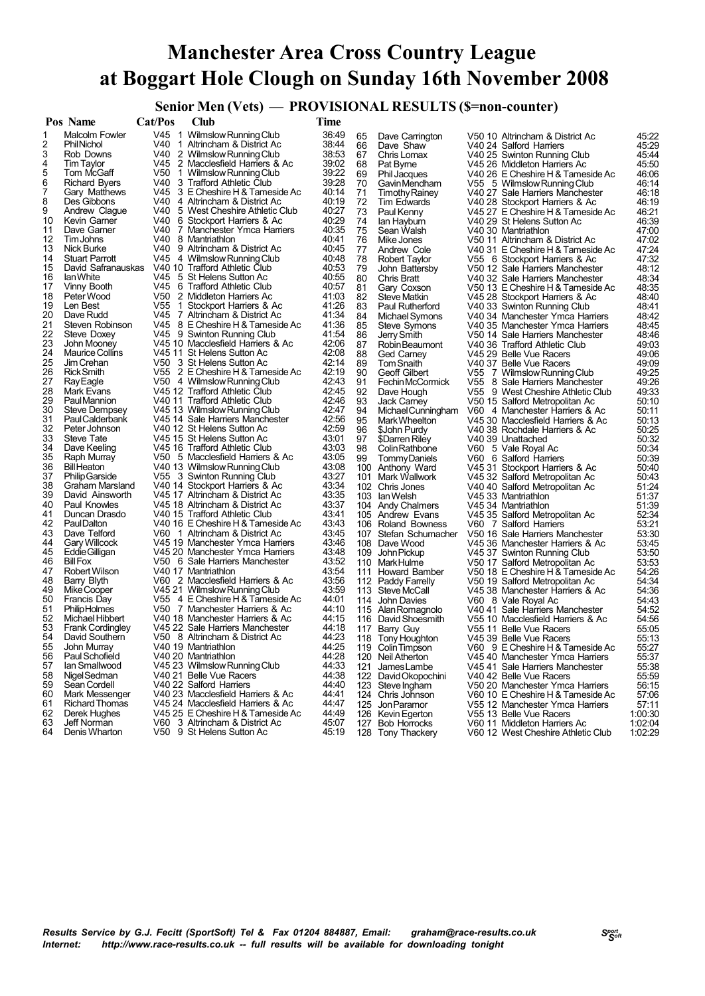## **Manchester Area Cross Country League at Boggart Hole Clough on Sunday 16th November 2008**

# **Senior Men (Vets)** — **PROVISIONAL RESULTS (\$=non-counter)**<br>Cat/Pos Club Time

|          | Pos Name                        | <b>Cat/Pos</b> | Club                                                              | Time           |          |                                   |                                                                     |                |
|----------|---------------------------------|----------------|-------------------------------------------------------------------|----------------|----------|-----------------------------------|---------------------------------------------------------------------|----------------|
| 1        | Malcolm Fowler                  |                | V45 1 Wilmslow Running Club                                       | 36:49          | 65       | Dave Carrington                   | V50 10 Altrincham & District Ac                                     | 45:22          |
| 2        | <b>Phil Nichol</b>              |                | V40 1 Altrincham & District Ac                                    | 38:44          | 66       | Dave Shaw                         | V40 24 Salford Harriers                                             | 45:29          |
| 3        | Rob Downs                       | V40            | 2 Wilmslow Running Club                                           | 38:53          | 67       | Chris Lomax                       | V40 25 Swinton Running Club                                         | 45:44          |
| 4        | Tim Taylor                      | V45            | 2 Macclesfield Harriers & Ac                                      | 39:02          | 68       | Pat Byme                          | V45 26 Middleton Harriers Ac                                        | 45:50          |
| 5        | Tom McGaff                      | V50            | 1 Wilmslow Running Club                                           | 39:22          | 69       | Phil Jacques                      | V40 26 E Cheshire H & Tameside Ac                                   | 46:06          |
| 6        | <b>Richard Byers</b>            | V40            | 3 Trafford Athletic Club                                          | 39:28          | 70       | Gavin Mendham                     | V55 5 Wilmslow Running Club                                         | 46:14          |
| 7        | Gary Matthews                   | V45            | 3 E Cheshire H & Tameside Ac                                      | 40:14          | 71       | <b>Timothy Rainey</b>             | V40 27 Sale Harriers Manchester                                     | 46:18          |
| 8        | Des Gibbons                     |                | V40 4 Altrincham & District Ac                                    | 40:19          | 72       | Tim Edwards                       | V40 28 Stockport Harriers & Ac                                      | 46:19          |
| 9        | Andrew Clague                   | V40            | 5 West Cheshire Athletic Club                                     | 40:27          | 73       | Paul Kenny                        | V45 27 E Cheshire H & Tameside Ac                                   | 46:21          |
| 10       | Kevin Garner                    | V40            | 6 Stockport Harriers & Ac                                         | 40:29          | 74       | lan Hayburn                       | V40 29 St Helens Sutton Ac                                          | 46:39          |
| 11       | Dave Garner                     |                | V40 7 Manchester Ymca Harriers                                    | 40:35          | 75       | Sean Walsh                        | V40 30 Mantriathlon                                                 | 47:00          |
| 12       | Tim Johns                       | V40            | 8 Mantriathlon                                                    | 40:41          | 76       | Mike Jones                        | V50 11 Altrincham & District Ac                                     | 47:02          |
| 13       | Nick Burke                      | V40            | 9 Altrincham & District Ac                                        | 40:45          | 77       | Andrew Cole                       | V40 31 E Cheshire H & Tameside Ac                                   | 47:24          |
| 14       | <b>Stuart Parrott</b>           |                | V45 4 Wilmslow Running Club                                       | 40:48          | 78       | <b>Robert Taylor</b>              | V55 6 Stockport Harriers & Ac                                       | 47:32          |
| 15       | David Safranauskas              |                | V40 10 Trafford Athletic Club                                     | 40:53          | 79       | John Battersby                    | V50 12 Sale Harriers Manchester                                     | 48:12          |
| 16       | lan White                       | V45            | 5 St Helens Sutton Ac                                             | 40:55          | 80       | <b>Chris Bratt</b>                | V40 32 Sale Harriers Manchester                                     | 48:34          |
| 17       | Vinny Booth                     |                | V45 6 Trafford Athletic Club                                      | 40:57          | 81       | Gary Coxson                       | V50 13 E Cheshire H & Tameside Ac                                   | 48:35          |
| 18       | Peter Wood                      | V50            | 2 Middleton Harriers Ac                                           | 41:03          | 82       | Steve Matkin                      | V45 28 Stockport Harriers & Ac                                      | 48:40          |
| 19       | Len Best                        | V55            | 1 Stockport Harriers & Ac                                         | 41:26          | 83       | Paul Rutherford                   | V40 33 Swinton Running Club                                         | 48:41          |
| 20       | Dave Rudd                       |                | V45 7 Altrincham & District Ac                                    | 41:34          | 84       | Michael Symons                    | V40 34 Manchester Ymca Harriers                                     | 48:42          |
| 21       | Steven Robinson                 |                | V45 8 E Cheshire H & Tameside Ac                                  | 41:36          | 85       | Steve Symons                      | V40 35 Manchester Ymca Harriers                                     | 48:45          |
| 22       | Steve Doxey                     |                | V45 9 Swinton Running Club                                        | 41:54          | 86       | Jerry Smith                       | V50 14 Sale Harriers Manchester                                     | 48:46          |
| 23       | John Mooney                     |                | V45 10 Macclesfield Harriers & Ac                                 | 42:06          | 87       | Robin Beaumont                    | V40 36 Trafford Athletic Club                                       | 49:03          |
| 24       | <b>Maurice Collins</b>          |                | V45 11 St Helens Sutton Ac<br>V50 3 St Helens Sutton Ac           | 42:08          | 88       | Ged Carney                        | V45 29 Belle Vue Racers                                             | 49:06          |
| 25<br>26 | Jim Crehan<br><b>Rick Smith</b> |                | V55 2 E Cheshire H & Tameside Ac                                  | 42:14<br>42:19 | 89       | Tom Snaith                        | V40 37 Belle Vue Racers                                             | 49:09          |
| 27       |                                 |                | V50 4 Wilmslow Running Club                                       | 42:43          | 90       | Geoff Gilbert<br>Fechin McCormick | V55 7 Wilmslow Running Club                                         | 49:25          |
| 28       | <b>Ray Eagle</b><br>Mark Evans  |                | V45 12 Trafford Athletic Club                                     | 42:45          | 91<br>92 |                                   | V55 8 Sale Harriers Manchester<br>V55 9 West Cheshire Athletic Club | 49:26<br>49:33 |
| 29       | Paul Mannion                    |                | V40 11 Trafford Athletic Club                                     | 42:46          | 93       | Dave Hough<br>Jack Carney         | V50 15 Salford Metropolitan Ac                                      | 50:10          |
| 30       | Steve Dempsey                   |                | V45 13 Wilmslow Running Club                                      | 42:47          | 94       | Michael Cunningham                | V60 4 Manchester Harriers & Ac                                      | 50:11          |
| 31       | Paul Calderbank                 |                | V45 14 Sale Harriers Manchester                                   | 42:56          | 95       | Mark Wheelton                     | V45 30 Macclesfield Harriers & Ac                                   | 50:13          |
| 32       | Peter Johnson                   |                | V40 12 St Helens Sutton Ac                                        | 42:59          | 96       | \$John Purdy                      | V40 38 Rochdale Harriers & Ac                                       | 50:25          |
| 33       | Steve Tate                      |                | V45 15 St Helens Sutton Ac                                        | 43:01          | 97       | \$Darren Riley                    | V40 39 Unattached                                                   | 50:32          |
| 34       | Dave Keeling                    |                | V45 16 Trafford Athletic Club                                     | 43:03          | 98       | Colin Rathbone                    | V60 5 Vale Royal Ac                                                 | 50:34          |
| 35       | Raph Murray                     |                | V50 5 Macclesfield Harriers & Ac                                  | 43:05          | 99       | <b>TommyDaniels</b>               | V60 6 Salford Harriers                                              | 50:39          |
| 36       | <b>Bill Heaton</b>              |                | V40 13 Wilmslow Running Club                                      | 43:08          |          | 100 Anthony Ward                  | V45 31 Stockport Harriers & Ac                                      | 50:40          |
| 37       | <b>Philip Garside</b>           |                | V55 3 Swinton Running Club                                        | 43:27          |          | 101 Mark Wallwork                 | V45 32 Salford Metropolitan Ac                                      | 50:43          |
| 38       | Graham Marsland                 |                | V40 14 Stockport Harriers & Ac                                    | 43:34          |          | 102 Chris Jones                   | V40 40 Salford Metropolitan Ac                                      | 51:24          |
| 39       | David Ainsworth                 |                | V45 17 Altrincham & District Ac                                   | 43:35          |          | 103 Ian Welsh                     | V45 33 Mantriathlon                                                 | 51:37          |
| 40       | Paul Knowles                    |                | V45 18 Altrincham & District Ac                                   | 43:37          |          | 104 Andy Chalmers                 | V45 34 Mantriathlon                                                 | 51:39          |
| 41       | Duncan Drasdo                   |                | V40 15 Trafford Athletic Club                                     | 43:41          |          | 105 Andrew Evans                  | V45 35 Salford Metropolitan Ac                                      | 52:34          |
| 42       | <b>PaulDalton</b>               |                | V40 16 E Cheshire H & Tameside Ac                                 | 43:43          |          | 106 Roland Bowness                | V60 7 Salford Harriers                                              | 53:21          |
| 43       | Dave Telford                    |                | V60 1 Altrincham & District Ac<br>V45 19 Manchester Ymca Harriers | 43:45<br>43:46 |          | 107 Stefan Schumacher             | V50 16 Sale Harriers Manchester                                     | 53:30          |
| 44<br>45 | Gary Willcock<br>Eddie Gilligan |                | V45 20 Manchester Ymca Harriers                                   | 43:48          |          | 108 Dave Wood                     | V45 36 Manchester Harriers & Ac<br>V45 37 Swinton Running Club      | 53:45          |
| 46       | <b>Bill Fox</b>                 |                | V50 6 Sale Harriers Manchester                                    | 43:52          |          | 109 John Pickup<br>110 Mark Hulme | V50 17 Salford Metropolitan Ac                                      | 53:50<br>53:53 |
| 47       | Robert Wilson                   |                | V40 17 Mantriathlon                                               | 43:54          |          | 111 Howard Bamber                 | V50 18 E Cheshire H & Tameside Ac                                   | 54:26          |
| 48       | Barry Blyth                     |                | V60 2 Macclesfield Harriers & Ac                                  | 43:56          |          | 112 Paddy Farrelly                | V50 19 Salford Metropolitan Ac                                      | 54:34          |
| 49       | Mike Cooper                     |                | V45 21 Wilmslow Running Club                                      | 43:59          |          | 113 Steve McCall                  | V45 38 Manchester Harriers & Ac                                     | 54:36          |
| 50       | <b>Francis Day</b>              |                | V55 4 E Cheshire H & Tameside Ac                                  | 44:01          |          | 114 John Davies                   | V60 8 Vale Royal Ac                                                 | 54:43          |
| 51       | Philip Holmes                   |                | V50 7 Manchester Harriers & Ac                                    | 44:10          |          | 115 Alan Romagnolo                | V40 41 Sale Harriers Manchester                                     | 54:52          |
| 52       | Michael Hibbert                 |                | V40 18 Manchester Harriers & Ac                                   | 44:15          |          | 116 David Shoesmith               | V55 10 Macclesfield Harriers & Ac                                   | 54:56          |
| 53       | <b>Frank Cordingley</b>         |                | V45 22 Sale Harriers Manchester                                   | 44:18          |          | 117 Barry Guy                     | V55 11 Belle Vue Racers                                             | 55:05          |
| 54       | David Southern                  |                | V50 8 Altrincham & District Ac                                    | 44:23          |          | 118 Tony Houghton                 | V45 39 Belle Vue Racers                                             | 55:13          |
| 55       | John Murray                     |                | V40 19 Mantriathlon                                               | 44:25          |          | 119 Colin I impson                | V60 9 E Cheshire H & Tameside Ac                                    | 55:27          |
| 56       | Paul Schofield                  |                | V40 20 Mantriathlon                                               | 44:28          |          | 120 Neil Atherton                 | V4540 Manchester Ymca Harriers                                      | 55:37          |
| 57       | lan Smallwood                   |                | V45 23 Wilmslow Running Club                                      | 44:33          | 121      | James Lambe                       | V45 41 Sale Harriers Manchester                                     | 55:38          |
| 58       | Nigel Sedman                    |                | V40 21 Belle Vue Racers                                           | 44:38          |          | 122 David Okopochini              | V40 42 Belle Vue Racers                                             | 55:59          |
| 59       | Sean Cordell                    |                | V40 22 Salford Harriers                                           | 44:40          |          | 123 Steve Ingham                  | V50 20 Manchester Ymca Harriers                                     | 56:15          |
| 60       | Mark Messenger                  |                | V40 23 Macclesfield Harriers & Ac                                 | 44:41          |          | 124 Chris Johnson                 | V60 10 E Cheshire H & Tameside Ac                                   | 57:06          |
| 61       | <b>Richard Thomas</b>           |                | V45 24 Macclesfield Harriers & Ac                                 | 44:47          |          | 125 Jon Paramor                   | V55 12 Manchester Ymca Harriers                                     | 57:11          |
| 62       | Derek Hughes                    |                | V45 25 E Cheshire H & Tameside Ac                                 | 44:49          |          | 126 Kevin Egerton                 | V55 13 Belle Vue Racers                                             | 1:00:30        |
| 63<br>64 | Jeff Norman                     |                | V60 3 Altrincham & District Ac<br>V50 9 St Helens Sutton Ac       | 45:07          |          | 127 Bob Horrocks                  | V60 11 Middleton Harriers Ac                                        | 1:02:04        |
|          | Denis Wharton                   |                |                                                                   | 45:19          |          | 128 Tony Thackery                 | V60 12 West Cheshire Athletic Club                                  | 1:02:29        |